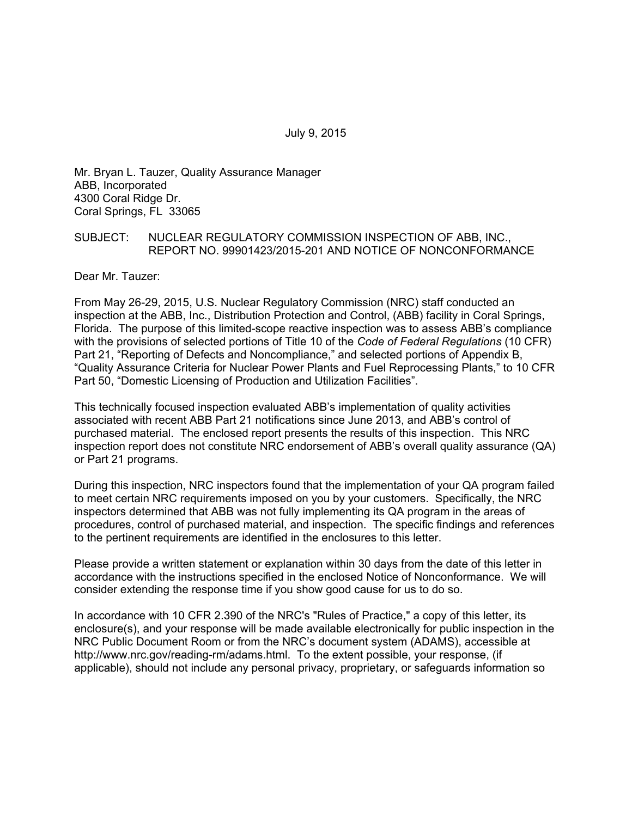July 9, 2015

Mr. Bryan L. Tauzer, Quality Assurance Manager ABB, Incorporated 4300 Coral Ridge Dr. Coral Springs, FL 33065

## SUBJECT: NUCLEAR REGULATORY COMMISSION INSPECTION OF ABB, INC., REPORT NO. 99901423/2015-201 AND NOTICE OF NONCONFORMANCE

Dear Mr. Tauzer:

From May 26-29, 2015, U.S. Nuclear Regulatory Commission (NRC) staff conducted an inspection at the ABB, Inc., Distribution Protection and Control, (ABB) facility in Coral Springs, Florida. The purpose of this limited-scope reactive inspection was to assess ABB's compliance with the provisions of selected portions of Title 10 of the *Code of Federal Regulations* (10 CFR) Part 21, "Reporting of Defects and Noncompliance," and selected portions of Appendix B, "Quality Assurance Criteria for Nuclear Power Plants and Fuel Reprocessing Plants," to 10 CFR Part 50, "Domestic Licensing of Production and Utilization Facilities".

This technically focused inspection evaluated ABB's implementation of quality activities associated with recent ABB Part 21 notifications since June 2013, and ABB's control of purchased material. The enclosed report presents the results of this inspection. This NRC inspection report does not constitute NRC endorsement of ABB's overall quality assurance (QA) or Part 21 programs.

During this inspection, NRC inspectors found that the implementation of your QA program failed to meet certain NRC requirements imposed on you by your customers. Specifically, the NRC inspectors determined that ABB was not fully implementing its QA program in the areas of procedures, control of purchased material, and inspection. The specific findings and references to the pertinent requirements are identified in the enclosures to this letter.

Please provide a written statement or explanation within 30 days from the date of this letter in accordance with the instructions specified in the enclosed Notice of Nonconformance. We will consider extending the response time if you show good cause for us to do so.

In accordance with 10 CFR 2.390 of the NRC's "Rules of Practice," a copy of this letter, its enclosure(s), and your response will be made available electronically for public inspection in the NRC Public Document Room or from the NRC's document system (ADAMS), accessible at http://www.nrc.gov/reading-rm/adams.html. To the extent possible, your response, (if applicable), should not include any personal privacy, proprietary, or safeguards information so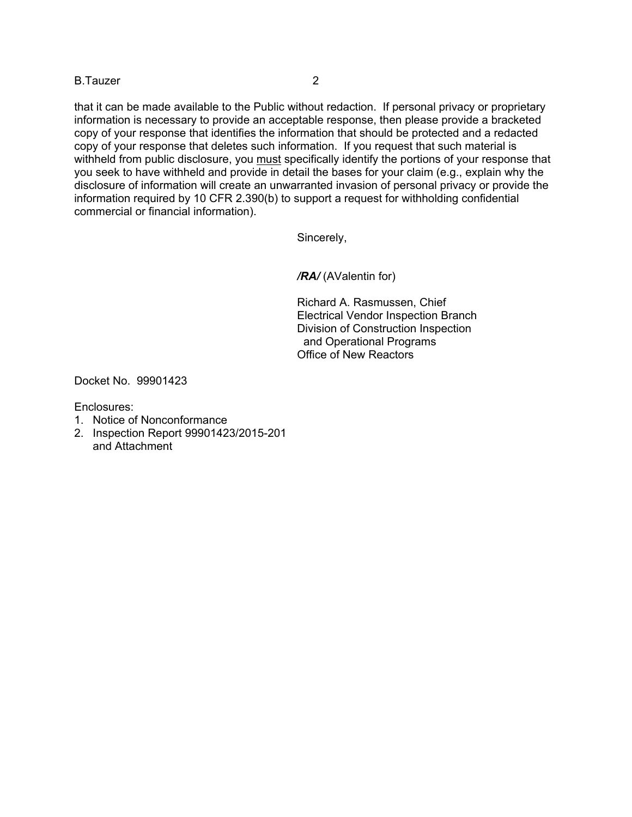## B.Tauzer 2

that it can be made available to the Public without redaction. If personal privacy or proprietary information is necessary to provide an acceptable response, then please provide a bracketed copy of your response that identifies the information that should be protected and a redacted copy of your response that deletes such information. If you request that such material is withheld from public disclosure, you must specifically identify the portions of your response that you seek to have withheld and provide in detail the bases for your claim (e.g., explain why the disclosure of information will create an unwarranted invasion of personal privacy or provide the information required by 10 CFR 2.390(b) to support a request for withholding confidential commercial or financial information).

Sincerely,

*/RA/* (AValentin for)

Richard A. Rasmussen, Chief Electrical Vendor Inspection Branch Division of Construction Inspection and Operational Programs Office of New Reactors

Docket No. 99901423

Enclosures:

- 1. Notice of Nonconformance
- 2. Inspection Report 99901423/2015-201 and Attachment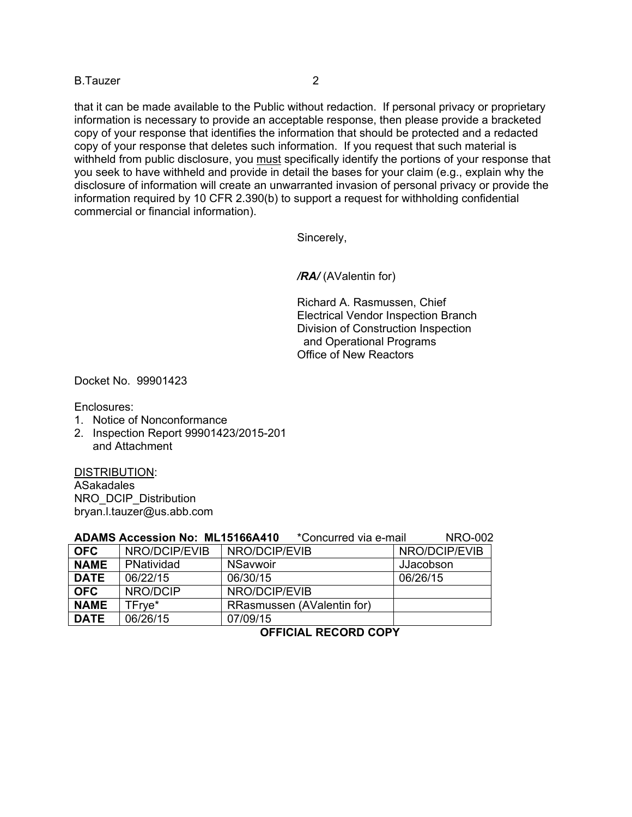## B.Tauzer 2

that it can be made available to the Public without redaction. If personal privacy or proprietary information is necessary to provide an acceptable response, then please provide a bracketed copy of your response that identifies the information that should be protected and a redacted copy of your response that deletes such information. If you request that such material is withheld from public disclosure, you must specifically identify the portions of your response that you seek to have withheld and provide in detail the bases for your claim (e.g., explain why the disclosure of information will create an unwarranted invasion of personal privacy or provide the information required by 10 CFR 2.390(b) to support a request for withholding confidential commercial or financial information).

Sincerely,

*/RA/* (AValentin for)

Richard A. Rasmussen, Chief Electrical Vendor Inspection Branch Division of Construction Inspection and Operational Programs Office of New Reactors

Docket No. 99901423

Enclosures:

- 1. Notice of Nonconformance
- 2. Inspection Report 99901423/2015-201 and Attachment

DISTRIBUTION: ASakadales NRO\_DCIP\_Distribution bryan.l.tauzer@us.abb.com

| <b>ADAMS Accession No: ML15166A410</b> | <b>NRO-002</b><br>*Concurred via e-mail |                            |               |
|----------------------------------------|-----------------------------------------|----------------------------|---------------|
| <b>OFC</b>                             | NRO/DCIP/EVIB                           | NRO/DCIP/EVIB              | NRO/DCIP/EVIB |
| <b>NAME</b>                            | PNatividad                              | <b>NSavwoir</b>            | JJacobson     |
| <b>DATE</b>                            | 06/22/15                                | 06/30/15                   | 06/26/15      |
| <b>OFC</b>                             | NRO/DCIP                                | NRO/DCIP/EVIB              |               |
| <b>NAME</b>                            | TFrye*                                  | RRasmussen (AValentin for) |               |
| <b>DATE</b>                            | 06/26/15                                | 07/09/15                   |               |

**OFFICIAL RECORD COPY**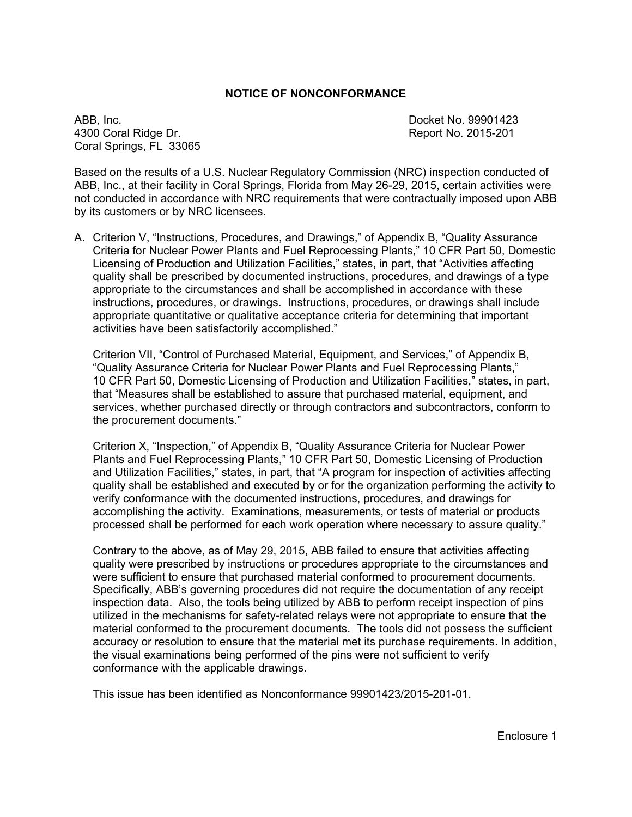## **NOTICE OF NONCONFORMANCE**

ABB, Inc. Docket No. 99901423 4300 Coral Ridge Dr. Report No. 2015-201 Coral Springs, FL 33065

Based on the results of a U.S. Nuclear Regulatory Commission (NRC) inspection conducted of ABB, Inc., at their facility in Coral Springs, Florida from May 26-29, 2015, certain activities were not conducted in accordance with NRC requirements that were contractually imposed upon ABB by its customers or by NRC licensees.

A. Criterion V, "Instructions, Procedures, and Drawings," of Appendix B, "Quality Assurance Criteria for Nuclear Power Plants and Fuel Reprocessing Plants," 10 CFR Part 50, Domestic Licensing of Production and Utilization Facilities," states, in part, that "Activities affecting quality shall be prescribed by documented instructions, procedures, and drawings of a type appropriate to the circumstances and shall be accomplished in accordance with these instructions, procedures, or drawings. Instructions, procedures, or drawings shall include appropriate quantitative or qualitative acceptance criteria for determining that important activities have been satisfactorily accomplished."

Criterion VII, "Control of Purchased Material, Equipment, and Services," of Appendix B, "Quality Assurance Criteria for Nuclear Power Plants and Fuel Reprocessing Plants," 10 CFR Part 50, Domestic Licensing of Production and Utilization Facilities," states, in part, that "Measures shall be established to assure that purchased material, equipment, and services, whether purchased directly or through contractors and subcontractors, conform to the procurement documents."

Criterion X, "Inspection," of Appendix B, "Quality Assurance Criteria for Nuclear Power Plants and Fuel Reprocessing Plants," 10 CFR Part 50, Domestic Licensing of Production and Utilization Facilities," states, in part, that "A program for inspection of activities affecting quality shall be established and executed by or for the organization performing the activity to verify conformance with the documented instructions, procedures, and drawings for accomplishing the activity. Examinations, measurements, or tests of material or products processed shall be performed for each work operation where necessary to assure quality."

Contrary to the above, as of May 29, 2015, ABB failed to ensure that activities affecting quality were prescribed by instructions or procedures appropriate to the circumstances and were sufficient to ensure that purchased material conformed to procurement documents. Specifically, ABB's governing procedures did not require the documentation of any receipt inspection data. Also, the tools being utilized by ABB to perform receipt inspection of pins utilized in the mechanisms for safety-related relays were not appropriate to ensure that the material conformed to the procurement documents. The tools did not possess the sufficient accuracy or resolution to ensure that the material met its purchase requirements. In addition, the visual examinations being performed of the pins were not sufficient to verify conformance with the applicable drawings.

This issue has been identified as Nonconformance 99901423/2015-201-01.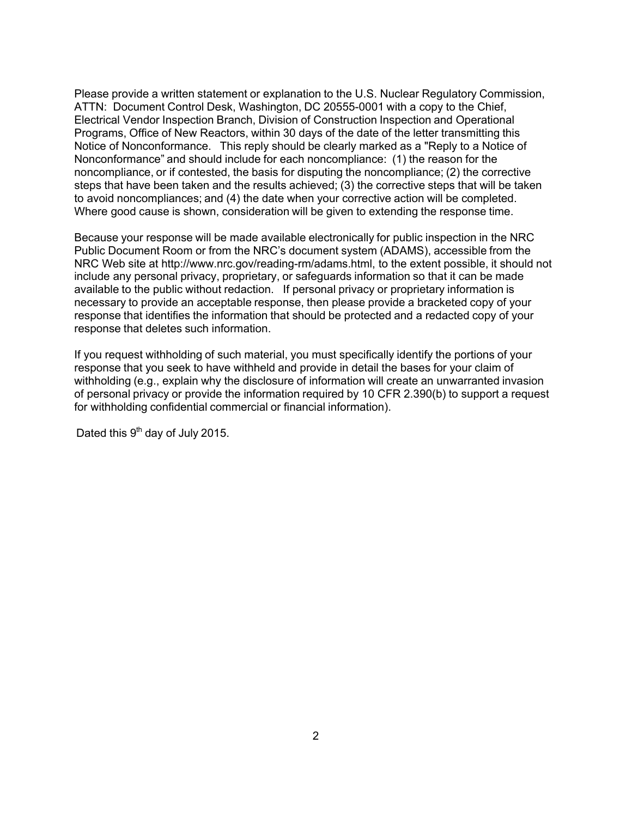Please provide a written statement or explanation to the U.S. Nuclear Regulatory Commission, ATTN: Document Control Desk, Washington, DC 20555-0001 with a copy to the Chief, Electrical Vendor Inspection Branch, Division of Construction Inspection and Operational Programs, Office of New Reactors, within 30 days of the date of the letter transmitting this Notice of Nonconformance. This reply should be clearly marked as a "Reply to a Notice of Nonconformance" and should include for each noncompliance: (1) the reason for the noncompliance, or if contested, the basis for disputing the noncompliance; (2) the corrective steps that have been taken and the results achieved; (3) the corrective steps that will be taken to avoid noncompliances; and (4) the date when your corrective action will be completed. Where good cause is shown, consideration will be given to extending the response time.

Because your response will be made available electronically for public inspection in the NRC Public Document Room or from the NRC's document system (ADAMS), accessible from the NRC Web site at http://www.nrc.gov/reading-rm/adams.html, to the extent possible, it should not include any personal privacy, proprietary, or safeguards information so that it can be made available to the public without redaction. If personal privacy or proprietary information is necessary to provide an acceptable response, then please provide a bracketed copy of your response that identifies the information that should be protected and a redacted copy of your response that deletes such information.

If you request withholding of such material, you must specifically identify the portions of your response that you seek to have withheld and provide in detail the bases for your claim of withholding (e.g., explain why the disclosure of information will create an unwarranted invasion of personal privacy or provide the information required by 10 CFR 2.390(b) to support a request for withholding confidential commercial or financial information).

Dated this 9<sup>th</sup> day of July 2015.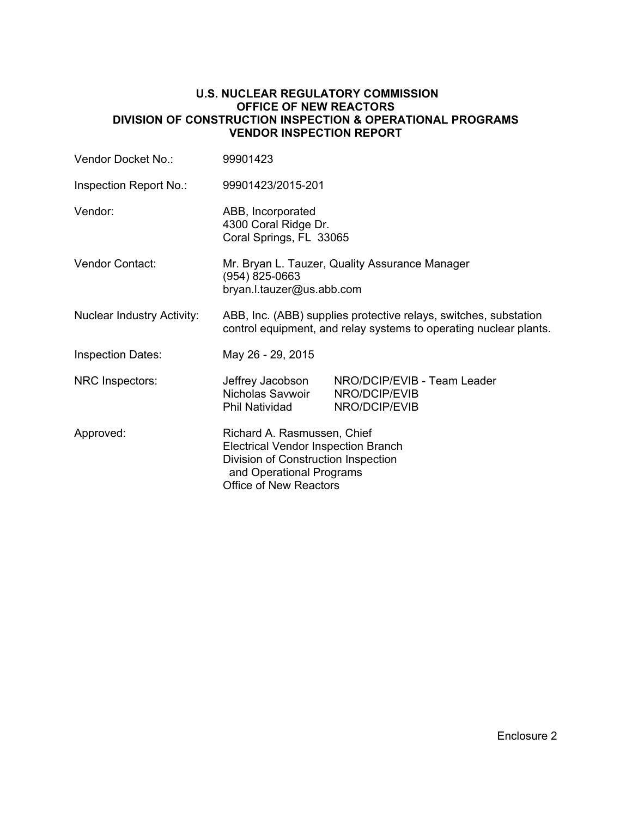## **U.S. NUCLEAR REGULATORY COMMISSION OFFICE OF NEW REACTORS DIVISION OF CONSTRUCTION INSPECTION & OPERATIONAL PROGRAMS VENDOR INSPECTION REPORT**

| Vendor Docket No.:                                                                                               | 99901423                                                                                                                                                                      |                                                               |  |  |
|------------------------------------------------------------------------------------------------------------------|-------------------------------------------------------------------------------------------------------------------------------------------------------------------------------|---------------------------------------------------------------|--|--|
| Inspection Report No.:                                                                                           | 99901423/2015-201                                                                                                                                                             |                                                               |  |  |
| Vendor:                                                                                                          | ABB, Incorporated<br>4300 Coral Ridge Dr.<br>Coral Springs, FL 33065                                                                                                          |                                                               |  |  |
| Vendor Contact:<br>Mr. Bryan L. Tauzer, Quality Assurance Manager<br>(954) 825-0663<br>bryan.l.tauzer@us.abb.com |                                                                                                                                                                               |                                                               |  |  |
| <b>Nuclear Industry Activity:</b>                                                                                | ABB, Inc. (ABB) supplies protective relays, switches, substation<br>control equipment, and relay systems to operating nuclear plants.                                         |                                                               |  |  |
| <b>Inspection Dates:</b>                                                                                         | May 26 - 29, 2015                                                                                                                                                             |                                                               |  |  |
| NRC Inspectors:                                                                                                  | Jeffrey Jacobson<br>Nicholas Savwoir<br>Phil Natividad                                                                                                                        | NRO/DCIP/EVIB - Team Leader<br>NRO/DCIP/EVIB<br>NRO/DCIP/EVIB |  |  |
| Approved:                                                                                                        | Richard A. Rasmussen, Chief<br><b>Electrical Vendor Inspection Branch</b><br>Division of Construction Inspection<br>and Operational Programs<br><b>Office of New Reactors</b> |                                                               |  |  |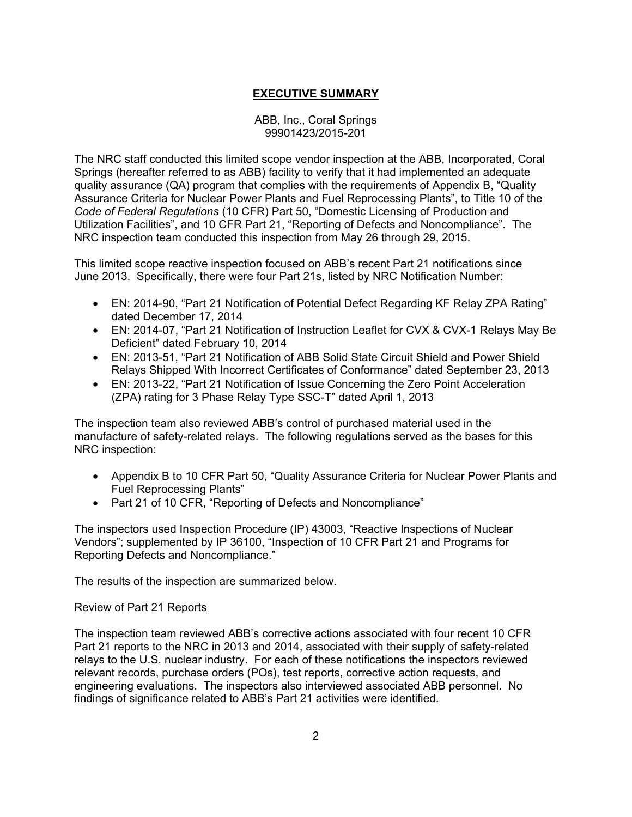# **EXECUTIVE SUMMARY**

## ABB, Inc., Coral Springs 99901423/2015-201

The NRC staff conducted this limited scope vendor inspection at the ABB, Incorporated, Coral Springs (hereafter referred to as ABB) facility to verify that it had implemented an adequate quality assurance (QA) program that complies with the requirements of Appendix B, "Quality Assurance Criteria for Nuclear Power Plants and Fuel Reprocessing Plants", to Title 10 of the *Code of Federal Regulations* (10 CFR) Part 50, "Domestic Licensing of Production and Utilization Facilities", and 10 CFR Part 21, "Reporting of Defects and Noncompliance". The NRC inspection team conducted this inspection from May 26 through 29, 2015.

This limited scope reactive inspection focused on ABB's recent Part 21 notifications since June 2013. Specifically, there were four Part 21s, listed by NRC Notification Number:

- EN: 2014-90, "Part 21 Notification of Potential Defect Regarding KF Relay ZPA Rating" dated December 17, 2014
- EN: 2014-07, "Part 21 Notification of Instruction Leaflet for CVX & CVX-1 Relays May Be Deficient" dated February 10, 2014
- EN: 2013-51, "Part 21 Notification of ABB Solid State Circuit Shield and Power Shield Relays Shipped With Incorrect Certificates of Conformance" dated September 23, 2013
- EN: 2013-22, "Part 21 Notification of Issue Concerning the Zero Point Acceleration (ZPA) rating for 3 Phase Relay Type SSC-T" dated April 1, 2013

The inspection team also reviewed ABB's control of purchased material used in the manufacture of safety-related relays. The following regulations served as the bases for this NRC inspection:

- Appendix B to 10 CFR Part 50, "Quality Assurance Criteria for Nuclear Power Plants and Fuel Reprocessing Plants"
- Part 21 of 10 CFR, "Reporting of Defects and Noncompliance"

The inspectors used Inspection Procedure (IP) 43003, "Reactive Inspections of Nuclear Vendors"; supplemented by IP 36100, "Inspection of 10 CFR Part 21 and Programs for Reporting Defects and Noncompliance."

The results of the inspection are summarized below.

## Review of Part 21 Reports

The inspection team reviewed ABB's corrective actions associated with four recent 10 CFR Part 21 reports to the NRC in 2013 and 2014, associated with their supply of safety-related relays to the U.S. nuclear industry. For each of these notifications the inspectors reviewed relevant records, purchase orders (POs), test reports, corrective action requests, and engineering evaluations. The inspectors also interviewed associated ABB personnel. No findings of significance related to ABB's Part 21 activities were identified.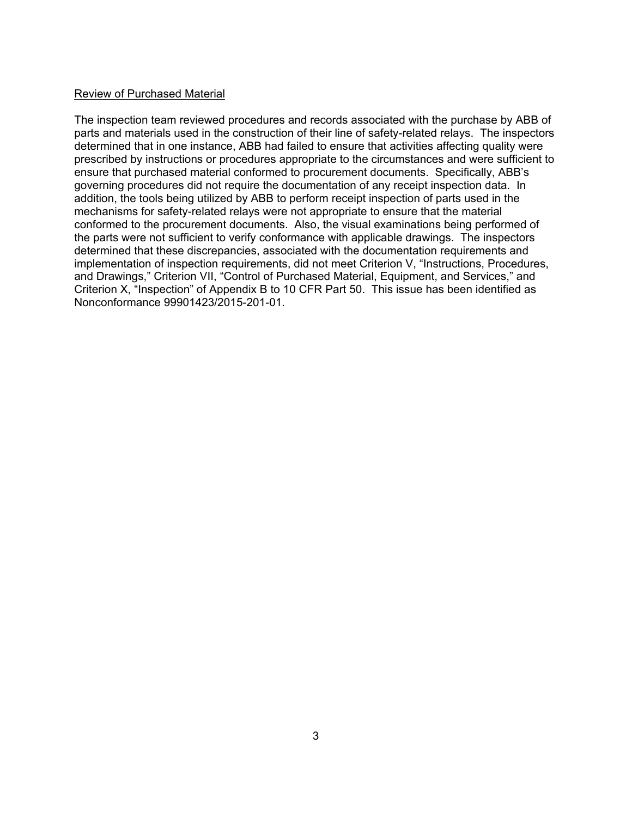## Review of Purchased Material

The inspection team reviewed procedures and records associated with the purchase by ABB of parts and materials used in the construction of their line of safety-related relays. The inspectors determined that in one instance, ABB had failed to ensure that activities affecting quality were prescribed by instructions or procedures appropriate to the circumstances and were sufficient to ensure that purchased material conformed to procurement documents. Specifically, ABB's governing procedures did not require the documentation of any receipt inspection data. In addition, the tools being utilized by ABB to perform receipt inspection of parts used in the mechanisms for safety-related relays were not appropriate to ensure that the material conformed to the procurement documents. Also, the visual examinations being performed of the parts were not sufficient to verify conformance with applicable drawings. The inspectors determined that these discrepancies, associated with the documentation requirements and implementation of inspection requirements, did not meet Criterion V, "Instructions, Procedures, and Drawings," Criterion VII, "Control of Purchased Material, Equipment, and Services," and Criterion X, "Inspection" of Appendix B to 10 CFR Part 50. This issue has been identified as Nonconformance 99901423/2015-201-01.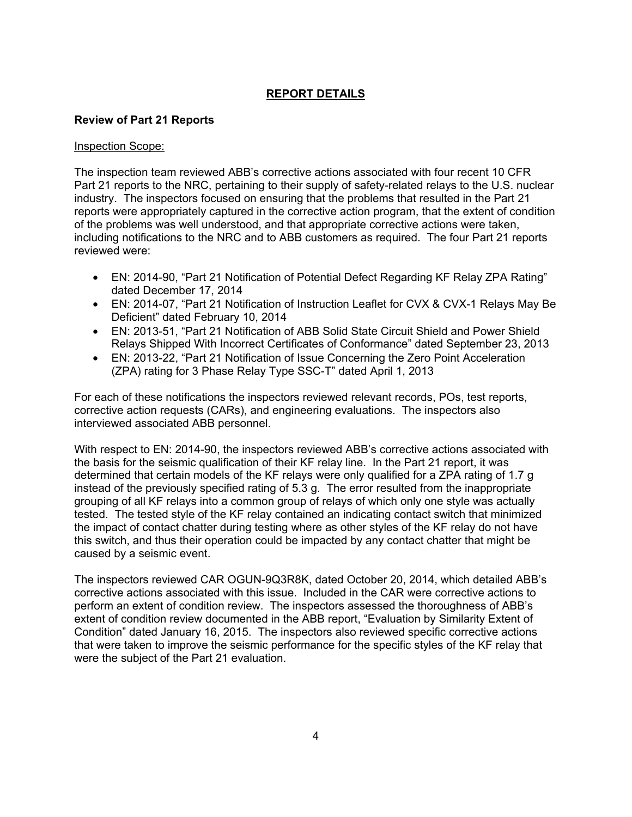# **REPORT DETAILS**

# **Review of Part 21 Reports**

### Inspection Scope:

The inspection team reviewed ABB's corrective actions associated with four recent 10 CFR Part 21 reports to the NRC, pertaining to their supply of safety-related relays to the U.S. nuclear industry. The inspectors focused on ensuring that the problems that resulted in the Part 21 reports were appropriately captured in the corrective action program, that the extent of condition of the problems was well understood, and that appropriate corrective actions were taken, including notifications to the NRC and to ABB customers as required. The four Part 21 reports reviewed were:

- EN: 2014-90, "Part 21 Notification of Potential Defect Regarding KF Relay ZPA Rating" dated December 17, 2014
- EN: 2014-07, "Part 21 Notification of Instruction Leaflet for CVX & CVX-1 Relays May Be Deficient" dated February 10, 2014
- EN: 2013-51, "Part 21 Notification of ABB Solid State Circuit Shield and Power Shield Relays Shipped With Incorrect Certificates of Conformance" dated September 23, 2013
- EN: 2013-22, "Part 21 Notification of Issue Concerning the Zero Point Acceleration (ZPA) rating for 3 Phase Relay Type SSC-T" dated April 1, 2013

For each of these notifications the inspectors reviewed relevant records, POs, test reports, corrective action requests (CARs), and engineering evaluations. The inspectors also interviewed associated ABB personnel.

With respect to EN: 2014-90, the inspectors reviewed ABB's corrective actions associated with the basis for the seismic qualification of their KF relay line. In the Part 21 report, it was determined that certain models of the KF relays were only qualified for a ZPA rating of 1.7 g instead of the previously specified rating of 5.3 g. The error resulted from the inappropriate grouping of all KF relays into a common group of relays of which only one style was actually tested. The tested style of the KF relay contained an indicating contact switch that minimized the impact of contact chatter during testing where as other styles of the KF relay do not have this switch, and thus their operation could be impacted by any contact chatter that might be caused by a seismic event.

The inspectors reviewed CAR OGUN-9Q3R8K, dated October 20, 2014, which detailed ABB's corrective actions associated with this issue. Included in the CAR were corrective actions to perform an extent of condition review. The inspectors assessed the thoroughness of ABB's extent of condition review documented in the ABB report, "Evaluation by Similarity Extent of Condition" dated January 16, 2015. The inspectors also reviewed specific corrective actions that were taken to improve the seismic performance for the specific styles of the KF relay that were the subject of the Part 21 evaluation.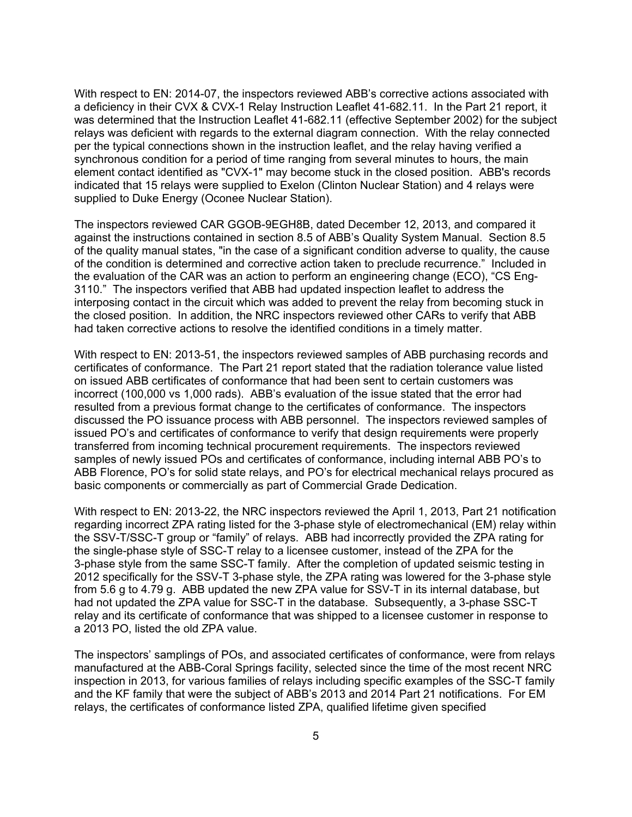With respect to EN: 2014-07, the inspectors reviewed ABB's corrective actions associated with a deficiency in their CVX & CVX-1 Relay Instruction Leaflet 41-682.11. In the Part 21 report, it was determined that the Instruction Leaflet 41-682.11 (effective September 2002) for the subject relays was deficient with regards to the external diagram connection. With the relay connected per the typical connections shown in the instruction leaflet, and the relay having verified a synchronous condition for a period of time ranging from several minutes to hours, the main element contact identified as "CVX-1" may become stuck in the closed position. ABB's records indicated that 15 relays were supplied to Exelon (Clinton Nuclear Station) and 4 relays were supplied to Duke Energy (Oconee Nuclear Station).

The inspectors reviewed CAR GGOB-9EGH8B, dated December 12, 2013, and compared it against the instructions contained in section 8.5 of ABB's Quality System Manual. Section 8.5 of the quality manual states, "in the case of a significant condition adverse to quality, the cause of the condition is determined and corrective action taken to preclude recurrence." Included in the evaluation of the CAR was an action to perform an engineering change (ECO), "CS Eng-3110." The inspectors verified that ABB had updated inspection leaflet to address the interposing contact in the circuit which was added to prevent the relay from becoming stuck in the closed position. In addition, the NRC inspectors reviewed other CARs to verify that ABB had taken corrective actions to resolve the identified conditions in a timely matter.

With respect to EN: 2013-51, the inspectors reviewed samples of ABB purchasing records and certificates of conformance. The Part 21 report stated that the radiation tolerance value listed on issued ABB certificates of conformance that had been sent to certain customers was incorrect (100,000 vs 1,000 rads). ABB's evaluation of the issue stated that the error had resulted from a previous format change to the certificates of conformance. The inspectors discussed the PO issuance process with ABB personnel. The inspectors reviewed samples of issued PO's and certificates of conformance to verify that design requirements were properly transferred from incoming technical procurement requirements. The inspectors reviewed samples of newly issued POs and certificates of conformance, including internal ABB PO's to ABB Florence, PO's for solid state relays, and PO's for electrical mechanical relays procured as basic components or commercially as part of Commercial Grade Dedication.

With respect to EN: 2013-22, the NRC inspectors reviewed the April 1, 2013, Part 21 notification regarding incorrect ZPA rating listed for the 3-phase style of electromechanical (EM) relay within the SSV-T/SSC-T group or "family" of relays. ABB had incorrectly provided the ZPA rating for the single-phase style of SSC-T relay to a licensee customer, instead of the ZPA for the 3-phase style from the same SSC-T family. After the completion of updated seismic testing in 2012 specifically for the SSV-T 3-phase style, the ZPA rating was lowered for the 3-phase style from 5.6 g to 4.79 g. ABB updated the new ZPA value for SSV-T in its internal database, but had not updated the ZPA value for SSC-T in the database. Subsequently, a 3-phase SSC-T relay and its certificate of conformance that was shipped to a licensee customer in response to a 2013 PO, listed the old ZPA value.

The inspectors' samplings of POs, and associated certificates of conformance, were from relays manufactured at the ABB-Coral Springs facility, selected since the time of the most recent NRC inspection in 2013, for various families of relays including specific examples of the SSC-T family and the KF family that were the subject of ABB's 2013 and 2014 Part 21 notifications. For EM relays, the certificates of conformance listed ZPA, qualified lifetime given specified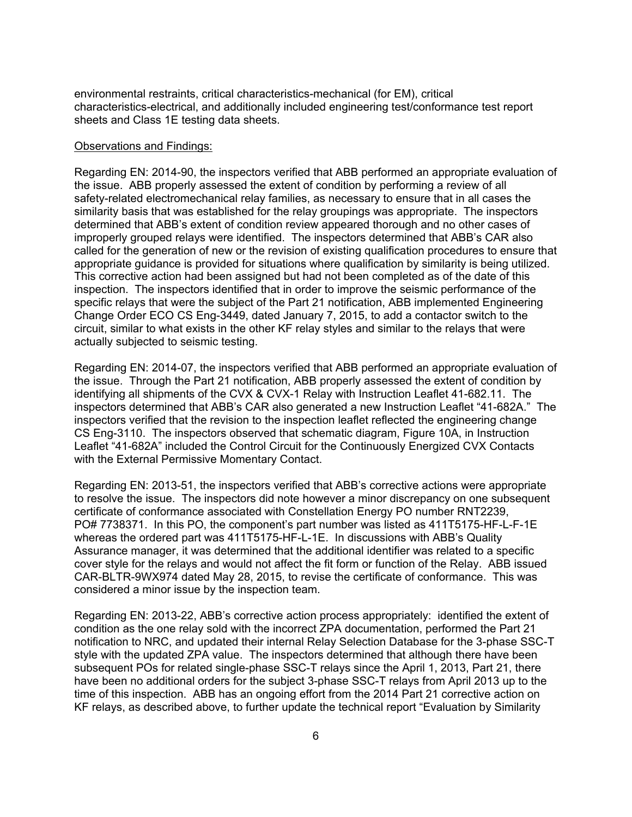environmental restraints, critical characteristics-mechanical (for EM), critical characteristics-electrical, and additionally included engineering test/conformance test report sheets and Class 1E testing data sheets.

#### Observations and Findings:

Regarding EN: 2014-90, the inspectors verified that ABB performed an appropriate evaluation of the issue. ABB properly assessed the extent of condition by performing a review of all safety-related electromechanical relay families, as necessary to ensure that in all cases the similarity basis that was established for the relay groupings was appropriate. The inspectors determined that ABB's extent of condition review appeared thorough and no other cases of improperly grouped relays were identified. The inspectors determined that ABB's CAR also called for the generation of new or the revision of existing qualification procedures to ensure that appropriate guidance is provided for situations where qualification by similarity is being utilized. This corrective action had been assigned but had not been completed as of the date of this inspection. The inspectors identified that in order to improve the seismic performance of the specific relays that were the subject of the Part 21 notification, ABB implemented Engineering Change Order ECO CS Eng-3449, dated January 7, 2015, to add a contactor switch to the circuit, similar to what exists in the other KF relay styles and similar to the relays that were actually subjected to seismic testing.

Regarding EN: 2014-07, the inspectors verified that ABB performed an appropriate evaluation of the issue. Through the Part 21 notification, ABB properly assessed the extent of condition by identifying all shipments of the CVX & CVX-1 Relay with Instruction Leaflet 41-682.11. The inspectors determined that ABB's CAR also generated a new Instruction Leaflet "41-682A." The inspectors verified that the revision to the inspection leaflet reflected the engineering change CS Eng-3110. The inspectors observed that schematic diagram, Figure 10A, in Instruction Leaflet "41-682A" included the Control Circuit for the Continuously Energized CVX Contacts with the External Permissive Momentary Contact.

Regarding EN: 2013-51, the inspectors verified that ABB's corrective actions were appropriate to resolve the issue. The inspectors did note however a minor discrepancy on one subsequent certificate of conformance associated with Constellation Energy PO number RNT2239, PO# 7738371. In this PO, the component's part number was listed as 411T5175-HF-L-F-1E whereas the ordered part was 411T5175-HF-L-1E. In discussions with ABB's Quality Assurance manager, it was determined that the additional identifier was related to a specific cover style for the relays and would not affect the fit form or function of the Relay. ABB issued CAR-BLTR-9WX974 dated May 28, 2015, to revise the certificate of conformance. This was considered a minor issue by the inspection team.

Regarding EN: 2013-22, ABB's corrective action process appropriately: identified the extent of condition as the one relay sold with the incorrect ZPA documentation, performed the Part 21 notification to NRC, and updated their internal Relay Selection Database for the 3-phase SSC-T style with the updated ZPA value. The inspectors determined that although there have been subsequent POs for related single-phase SSC-T relays since the April 1, 2013, Part 21, there have been no additional orders for the subject 3-phase SSC-T relays from April 2013 up to the time of this inspection. ABB has an ongoing effort from the 2014 Part 21 corrective action on KF relays, as described above, to further update the technical report "Evaluation by Similarity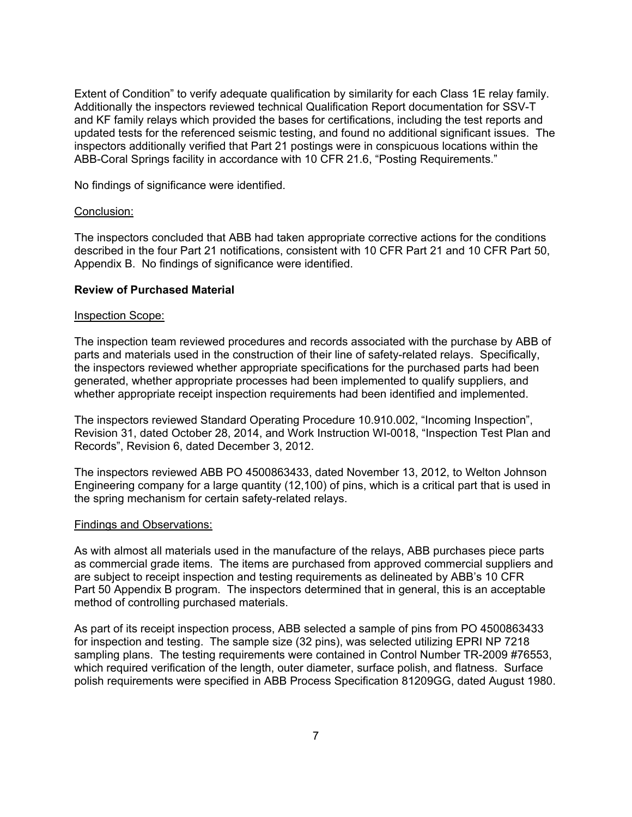Extent of Condition" to verify adequate qualification by similarity for each Class 1E relay family. Additionally the inspectors reviewed technical Qualification Report documentation for SSV-T and KF family relays which provided the bases for certifications, including the test reports and updated tests for the referenced seismic testing, and found no additional significant issues. The inspectors additionally verified that Part 21 postings were in conspicuous locations within the ABB-Coral Springs facility in accordance with 10 CFR 21.6, "Posting Requirements."

No findings of significance were identified.

### Conclusion:

The inspectors concluded that ABB had taken appropriate corrective actions for the conditions described in the four Part 21 notifications, consistent with 10 CFR Part 21 and 10 CFR Part 50, Appendix B. No findings of significance were identified.

### **Review of Purchased Material**

#### Inspection Scope:

The inspection team reviewed procedures and records associated with the purchase by ABB of parts and materials used in the construction of their line of safety-related relays. Specifically, the inspectors reviewed whether appropriate specifications for the purchased parts had been generated, whether appropriate processes had been implemented to qualify suppliers, and whether appropriate receipt inspection requirements had been identified and implemented.

The inspectors reviewed Standard Operating Procedure 10.910.002, "Incoming Inspection", Revision 31, dated October 28, 2014, and Work Instruction WI-0018, "Inspection Test Plan and Records", Revision 6, dated December 3, 2012.

The inspectors reviewed ABB PO 4500863433, dated November 13, 2012, to Welton Johnson Engineering company for a large quantity (12,100) of pins, which is a critical part that is used in the spring mechanism for certain safety-related relays.

#### Findings and Observations:

As with almost all materials used in the manufacture of the relays, ABB purchases piece parts as commercial grade items. The items are purchased from approved commercial suppliers and are subject to receipt inspection and testing requirements as delineated by ABB's 10 CFR Part 50 Appendix B program. The inspectors determined that in general, this is an acceptable method of controlling purchased materials.

As part of its receipt inspection process, ABB selected a sample of pins from PO 4500863433 for inspection and testing. The sample size (32 pins), was selected utilizing EPRI NP 7218 sampling plans. The testing requirements were contained in Control Number TR-2009 #76553, which required verification of the length, outer diameter, surface polish, and flatness. Surface polish requirements were specified in ABB Process Specification 81209GG, dated August 1980.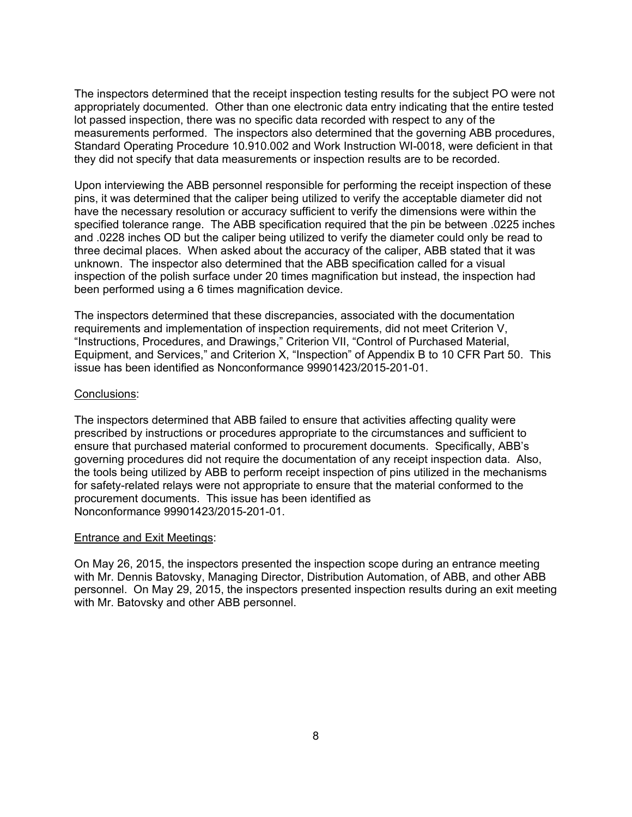The inspectors determined that the receipt inspection testing results for the subject PO were not appropriately documented. Other than one electronic data entry indicating that the entire tested lot passed inspection, there was no specific data recorded with respect to any of the measurements performed. The inspectors also determined that the governing ABB procedures, Standard Operating Procedure 10.910.002 and Work Instruction WI-0018, were deficient in that they did not specify that data measurements or inspection results are to be recorded.

Upon interviewing the ABB personnel responsible for performing the receipt inspection of these pins, it was determined that the caliper being utilized to verify the acceptable diameter did not have the necessary resolution or accuracy sufficient to verify the dimensions were within the specified tolerance range. The ABB specification required that the pin be between .0225 inches and .0228 inches OD but the caliper being utilized to verify the diameter could only be read to three decimal places. When asked about the accuracy of the caliper, ABB stated that it was unknown. The inspector also determined that the ABB specification called for a visual inspection of the polish surface under 20 times magnification but instead, the inspection had been performed using a 6 times magnification device.

The inspectors determined that these discrepancies, associated with the documentation requirements and implementation of inspection requirements, did not meet Criterion V, "Instructions, Procedures, and Drawings," Criterion VII, "Control of Purchased Material, Equipment, and Services," and Criterion X, "Inspection" of Appendix B to 10 CFR Part 50. This issue has been identified as Nonconformance 99901423/2015-201-01.

#### Conclusions:

The inspectors determined that ABB failed to ensure that activities affecting quality were prescribed by instructions or procedures appropriate to the circumstances and sufficient to ensure that purchased material conformed to procurement documents. Specifically, ABB's governing procedures did not require the documentation of any receipt inspection data. Also, the tools being utilized by ABB to perform receipt inspection of pins utilized in the mechanisms for safety-related relays were not appropriate to ensure that the material conformed to the procurement documents. This issue has been identified as Nonconformance 99901423/2015-201-01.

## Entrance and Exit Meetings:

On May 26, 2015, the inspectors presented the inspection scope during an entrance meeting with Mr. Dennis Batovsky, Managing Director, Distribution Automation, of ABB, and other ABB personnel. On May 29, 2015, the inspectors presented inspection results during an exit meeting with Mr. Batovsky and other ABB personnel.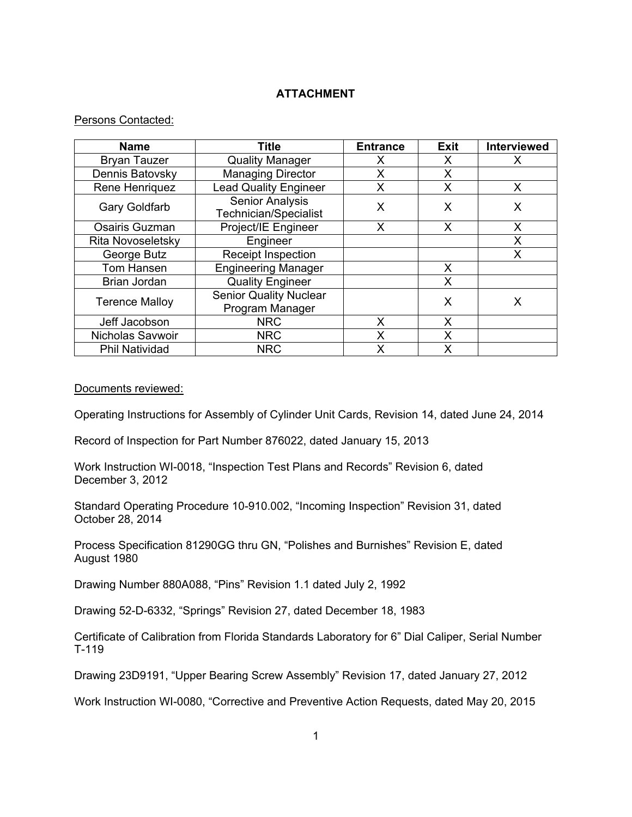# **ATTACHMENT**

## Persons Contacted:

| <b>Name</b>              | <b>Title</b>                                     | <b>Entrance</b> | <b>Exit</b> | <b>Interviewed</b> |
|--------------------------|--------------------------------------------------|-----------------|-------------|--------------------|
| <b>Bryan Tauzer</b>      | <b>Quality Manager</b>                           | x               | х           | X                  |
| Dennis Batovsky          | <b>Managing Director</b>                         | X               | X           |                    |
| Rene Henriquez           | <b>Lead Quality Engineer</b>                     | Х               | X           | X                  |
| <b>Gary Goldfarb</b>     | <b>Senior Analysis</b><br>Technician/Specialist  | X               | X           | X                  |
| Osairis Guzman           | Project/IE Engineer                              | X               | X           | X                  |
| <b>Rita Novoseletsky</b> | Engineer                                         |                 |             | X                  |
| George Butz              | Receipt Inspection                               |                 |             | X                  |
| Tom Hansen               | <b>Engineering Manager</b>                       |                 | X           |                    |
| Brian Jordan             | <b>Quality Engineer</b>                          |                 | X           |                    |
| <b>Terence Malloy</b>    | <b>Senior Quality Nuclear</b><br>Program Manager |                 | X           | Х                  |
| Jeff Jacobson            | <b>NRC</b>                                       | X               | X           |                    |
| Nicholas Savwoir         | <b>NRC</b>                                       | X               | X           |                    |
| Phil Natividad           | <b>NRC</b>                                       | x               | X           |                    |

Documents reviewed:

Operating Instructions for Assembly of Cylinder Unit Cards, Revision 14, dated June 24, 2014

Record of Inspection for Part Number 876022, dated January 15, 2013

Work Instruction WI-0018, "Inspection Test Plans and Records" Revision 6, dated December 3, 2012

Standard Operating Procedure 10-910.002, "Incoming Inspection" Revision 31, dated October 28, 2014

Process Specification 81290GG thru GN, "Polishes and Burnishes" Revision E, dated August 1980

Drawing Number 880A088, "Pins" Revision 1.1 dated July 2, 1992

Drawing 52-D-6332, "Springs" Revision 27, dated December 18, 1983

Certificate of Calibration from Florida Standards Laboratory for 6" Dial Caliper, Serial Number T-119

Drawing 23D9191, "Upper Bearing Screw Assembly" Revision 17, dated January 27, 2012

Work Instruction WI-0080, "Corrective and Preventive Action Requests, dated May 20, 2015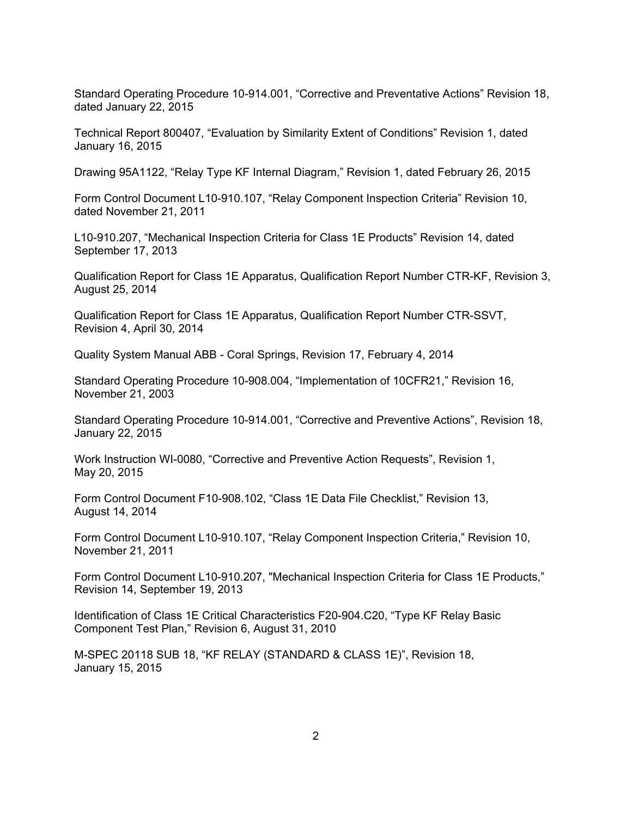Standard Operating Procedure 10-914.001, "Corrective and Preventative Actions" Revision 18, dated January 22, 2015

Technical Report 800407, "Evaluation by Similarity Extent of Conditions" Revision 1, dated January 16, 2015

Drawing 95A1122, "Relay Type KF Internal Diagram," Revision 1, dated February 26, 2015

Form Control Document L10-910.107, "Relay Component Inspection Criteria" Revision 10, dated November 21, 2011

L10-910.207, "Mechanical Inspection Criteria for Class 1E Products" Revision 14, dated September 17, 2013

Qualification Report for Class 1E Apparatus, Qualification Report Number CTR-KF, Revision 3, August 25, 2014

Qualification Report for Class 1E Apparatus, Qualification Report Number CTR-SSVT, Revision 4, April 30, 2014

Quality System Manual ABB - Coral Springs, Revision 17, February 4, 2014

Standard Operating Procedure 10-908.004, "Implementation of 10CFR21," Revision 16, November 21, 2003

Standard Operating Procedure 10-914.001, "Corrective and Preventive Actions", Revision 18, January 22, 2015

Work Instruction WI-0080, "Corrective and Preventive Action Requests", Revision 1, May 20, 2015

Form Control Document F10-908.102, "Class 1E Data File Checklist," Revision 13, August 14, 2014

Form Control Document L10-910.107, "Relay Component Inspection Criteria," Revision 10, November 21, 2011

Form Control Document L10-910.207, "Mechanical Inspection Criteria for Class 1E Products," Revision 14, September 19, 2013

Identification of Class 1E Critical Characteristics F20-904.C20, "Type KF Relay Basic Component Test Plan," Revision 6, August 31, 2010

M-SPEC 20118 SUB 18, "KF RELAY (STANDARD & CLASS 1E)", Revision 18, January 15, 2015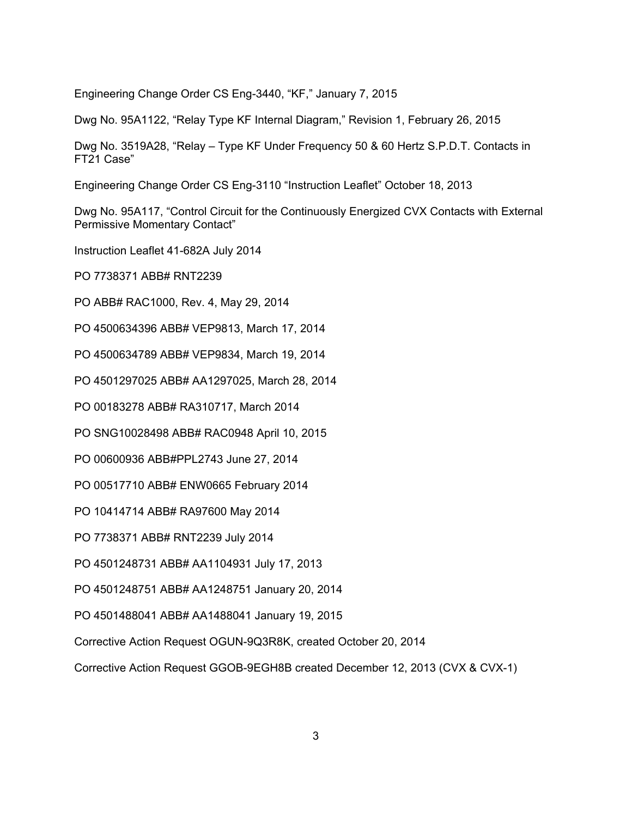Engineering Change Order CS Eng-3440, "KF," January 7, 2015

Dwg No. 95A1122, "Relay Type KF Internal Diagram," Revision 1, February 26, 2015

Dwg No. 3519A28, "Relay – Type KF Under Frequency 50 & 60 Hertz S.P.D.T. Contacts in FT21 Case"

Engineering Change Order CS Eng-3110 "Instruction Leaflet" October 18, 2013

Dwg No. 95A117, "Control Circuit for the Continuously Energized CVX Contacts with External Permissive Momentary Contact"

Instruction Leaflet 41-682A July 2014

PO 7738371 ABB# RNT2239

PO ABB# RAC1000, Rev. 4, May 29, 2014

PO 4500634396 ABB# VEP9813, March 17, 2014

PO 4500634789 ABB# VEP9834, March 19, 2014

PO 4501297025 ABB# AA1297025, March 28, 2014

PO 00183278 ABB# RA310717, March 2014

PO SNG10028498 ABB# RAC0948 April 10, 2015

PO 00600936 ABB#PPL2743 June 27, 2014

PO 00517710 ABB# ENW0665 February 2014

PO 10414714 ABB# RA97600 May 2014

PO 7738371 ABB# RNT2239 July 2014

PO 4501248731 ABB# AA1104931 July 17, 2013

PO 4501248751 ABB# AA1248751 January 20, 2014

PO 4501488041 ABB# AA1488041 January 19, 2015

Corrective Action Request OGUN-9Q3R8K, created October 20, 2014

Corrective Action Request GGOB-9EGH8B created December 12, 2013 (CVX & CVX-1)